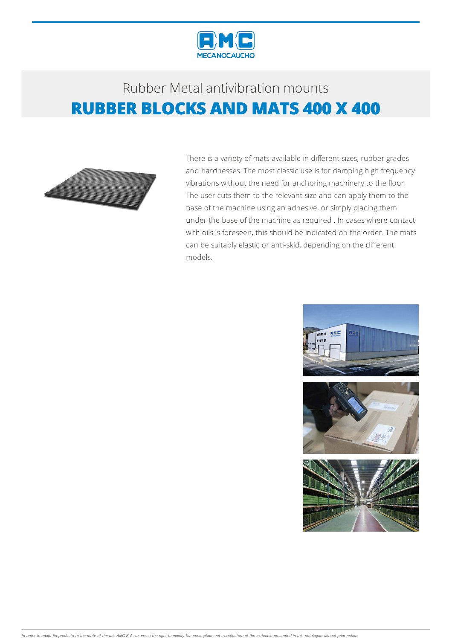

## Rubber Metalantivibration mounts **RUBBER BLOCKS AND MATS 400 X 400**



There is a variety of mats available in different sizes, rubber grades and hardnesses. The most classic use is for damping high frequency vibrations without the need for anchoring machinery to the floor. The user cuts them to the relevant size and can apply them to the base of the machine using an adhesive, or simply placing them under the base of the machine as required . In cases where contact with oils is foreseen, this should be indicated on the order. The mats can be suitably elastic or anti-skid, depending on the different models.